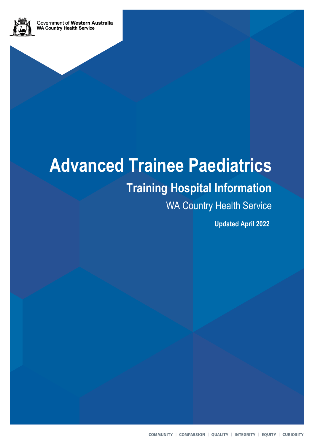

## **Training Hospital Information**

WA Country Health Service

**Updated April 2022**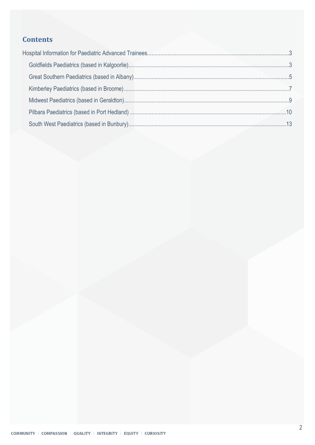#### **Contents**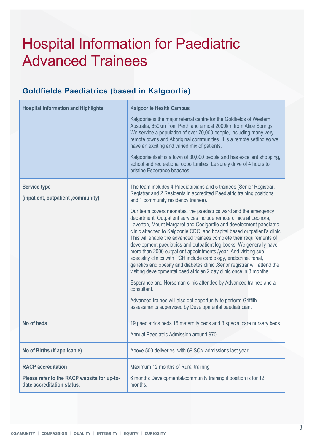# <span id="page-2-0"></span>Hospital Information for Paediatric Advanced Trainees

#### <span id="page-2-1"></span>**Goldfields Paediatrics (based in Kalgoorlie)**

| <b>Hospital Information and Highlights</b>                                                             | <b>Kalgoorlie Health Campus</b><br>Kalgoorlie is the major referral centre for the Goldfields of Western<br>Australia, 650km from Perth and almost 2000km from Alice Springs.<br>We service a population of over 70,000 people, including many very<br>remote towns and Aboriginal communities. It is a remote setting so we<br>have an exciting and varied mix of patients.<br>Kalgoorlie itself is a town of 30,000 people and has excellent shopping,<br>school and recreational opportunities. Leisurely drive of 4 hours to                                                                                                                                                                                                                                                                                          |
|--------------------------------------------------------------------------------------------------------|---------------------------------------------------------------------------------------------------------------------------------------------------------------------------------------------------------------------------------------------------------------------------------------------------------------------------------------------------------------------------------------------------------------------------------------------------------------------------------------------------------------------------------------------------------------------------------------------------------------------------------------------------------------------------------------------------------------------------------------------------------------------------------------------------------------------------|
|                                                                                                        | pristine Esperance beaches.                                                                                                                                                                                                                                                                                                                                                                                                                                                                                                                                                                                                                                                                                                                                                                                               |
| <b>Service type</b><br>(inpatient, outpatient, community)                                              | The team includes 4 Paediatricians and 5 trainees (Senior Registrar,<br>Registrar and 2 Residents in accredited Paediatric training positions<br>and 1 community residency trainee).                                                                                                                                                                                                                                                                                                                                                                                                                                                                                                                                                                                                                                      |
|                                                                                                        | Our team covers neonates, the paediatrics ward and the emergency<br>department. Outpatient services include remote clinics at Leonora,<br>Laverton, Mount Margaret and Coolgardie and development paediatric<br>clinic attached to Kalgoorlie CDC, and hospital based outpatient's clinic.<br>This will enable the advanced trainees complete their requirements of<br>development paediatrics and outpatient log books. We generally have<br>more than 2000 outpatient appointments /year. And visiting sub<br>speciality clinics with PCH include cardiology, endocrine, renal,<br>genetics and obesity and diabetes clinic . Senor registrar will attend the<br>visiting developmental paediatrician 2 day clinic once in 3 months.<br>Esperance and Norseman clinic attended by Advanced trainee and a<br>consultant. |
|                                                                                                        | Advanced trainee will also get opportunity to perform Griffith<br>assessments supervised by Developmental paediatrician.                                                                                                                                                                                                                                                                                                                                                                                                                                                                                                                                                                                                                                                                                                  |
| No of beds                                                                                             | 19 paediatrics beds 16 maternity beds and 3 special care nursery beds<br>Annual Paediatric Admission around 970                                                                                                                                                                                                                                                                                                                                                                                                                                                                                                                                                                                                                                                                                                           |
| No of Births (if applicable)                                                                           | Above 500 deliveries with 69 SCN admissions last year                                                                                                                                                                                                                                                                                                                                                                                                                                                                                                                                                                                                                                                                                                                                                                     |
| <b>RACP</b> accreditation<br>Please refer to the RACP website for up-to-<br>date accreditation status. | Maximum 12 months of Rural training<br>6 months Developmental/community training if position is for 12<br>months.                                                                                                                                                                                                                                                                                                                                                                                                                                                                                                                                                                                                                                                                                                         |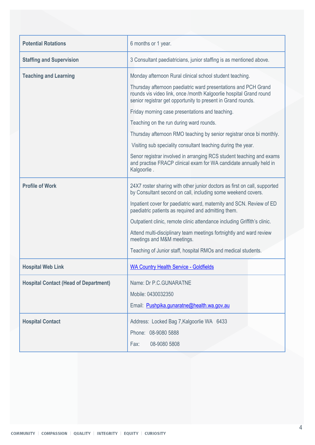| <b>Potential Rotations</b>                   | 6 months or 1 year.                                                                                                                                                                                  |
|----------------------------------------------|------------------------------------------------------------------------------------------------------------------------------------------------------------------------------------------------------|
| <b>Staffing and Supervision</b>              | 3 Consultant paediatricians, junior staffing is as mentioned above.                                                                                                                                  |
| <b>Teaching and Learning</b>                 | Monday afternoon Rural clinical school student teaching.                                                                                                                                             |
|                                              | Thursday afternoon paediatric ward presentations and PCH Grand<br>rounds vis video link, once /month Kalgoorlie hospital Grand round<br>senior registrar get opportunity to present in Grand rounds. |
|                                              | Friday morning case presentations and teaching.                                                                                                                                                      |
|                                              | Teaching on the run during ward rounds.                                                                                                                                                              |
|                                              | Thursday afternoon RMO teaching by senior registrar once bi monthly.                                                                                                                                 |
|                                              | Visiting sub speciality consultant teaching during the year.                                                                                                                                         |
|                                              | Senor registrar involved in arranging RCS student teaching and exams<br>and practise FRACP clinical exam for WA candidate annually held in<br>Kalgoorlie.                                            |
| <b>Profile of Work</b>                       | 24X7 roster sharing with other junior doctors as first on call, supported<br>by Consultant second on call, including some weekend covers.                                                            |
|                                              | Inpatient cover for paediatric ward, maternity and SCN. Review of ED<br>paediatric patients as required and admitting them.                                                                          |
|                                              | Outpatient clinic, remote clinic attendance including Griffith's clinic.                                                                                                                             |
|                                              | Attend multi-disciplinary team meetings fortnightly and ward review<br>meetings and M&M meetings.                                                                                                    |
|                                              | Teaching of Junior staff, hospital RMOs and medical students.                                                                                                                                        |
| <b>Hospital Web Link</b>                     | <b>WA Country Health Service - Goldfields</b>                                                                                                                                                        |
| <b>Hospital Contact (Head of Department)</b> | Name: Dr P.C.GUNARATNE                                                                                                                                                                               |
|                                              | Mobile: 0430032350                                                                                                                                                                                   |
|                                              | Email: Pushpika.gunaratne@health.wa.gov.au                                                                                                                                                           |
| <b>Hospital Contact</b>                      | Address: Locked Bag 7, Kalgoorlie WA 6433                                                                                                                                                            |
|                                              | Phone: 08-9080 5888                                                                                                                                                                                  |
|                                              | Fax:<br>08-9080 5808                                                                                                                                                                                 |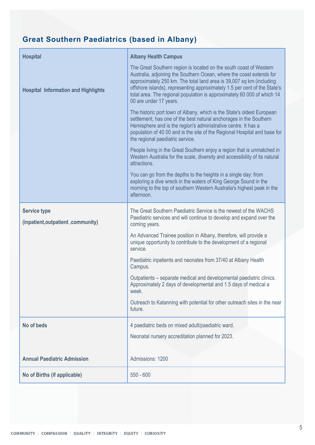## <span id="page-4-0"></span>**Great Southern Paediatrics (based in Albany)**

| <b>Hospital</b>                                           | <b>Albany Health Campus</b>                                                                                                                                                                                                                                                                                                                                                                          |
|-----------------------------------------------------------|------------------------------------------------------------------------------------------------------------------------------------------------------------------------------------------------------------------------------------------------------------------------------------------------------------------------------------------------------------------------------------------------------|
| <b>Hospital Information and Highlights</b>                | The Great Southern region is located on the south coast of Western<br>Australia, adjoining the Southern Ocean, where the coast extends for<br>approximately 250 km. The total land area is 39,007 sq km (including<br>offshore islands), representing approximately 1.5 per cent of the State's<br>total area. The regional population is approximately 60 000 of which 14<br>00 are under 17 years. |
|                                                           | The historic port town of Albany, which is the State's oldest European<br>settlement, has one of the best natural anchorages in the Southern<br>Hemisphere and is the region's administrative centre. It has a<br>population of 40 00 and is the site of the Regional Hospital and base for<br>the regional paediatric service.                                                                      |
|                                                           | People living in the Great Southern enjoy a region that is unmatched in<br>Western Australia for the scale, diversity and accessibility of its natural<br>attractions.                                                                                                                                                                                                                               |
|                                                           | You can go from the depths to the heights in a single day: from<br>exploring a dive wreck in the waters of King George Sound in the<br>morning to the top of southern Western Australia's highest peak in the<br>afternoon.                                                                                                                                                                          |
| <b>Service type</b><br>(inpatient, outpatient, community) | The Great Southern Paediatric Service is the newest of the WACHS<br>Paediatric services and will continue to develop and expand over the<br>coming years.                                                                                                                                                                                                                                            |
|                                                           | An Advanced Trainee position in Albany, therefore, will provide a                                                                                                                                                                                                                                                                                                                                    |
|                                                           | unique opportunity to contribute to the development of a regional<br>service.                                                                                                                                                                                                                                                                                                                        |
|                                                           | Paediatric inpatients and neonates from 37/40 at Albany Health<br>Campus.                                                                                                                                                                                                                                                                                                                            |
|                                                           | Outpatients – separate medical and developmental paediatric clinics.<br>Approximately 2 days of developmental and 1.5 days of medical a<br>week.                                                                                                                                                                                                                                                     |
|                                                           | Outreach to Katanning with potential for other outreach sites in the near<br>future.                                                                                                                                                                                                                                                                                                                 |
| No of beds                                                | 4 paediatric beds on mixed adult/paediatric ward.                                                                                                                                                                                                                                                                                                                                                    |
|                                                           | Neonatal nursery accreditation planned for 2023.                                                                                                                                                                                                                                                                                                                                                     |
| <b>Annual Paediatric Admission</b>                        | Admissions: 1200                                                                                                                                                                                                                                                                                                                                                                                     |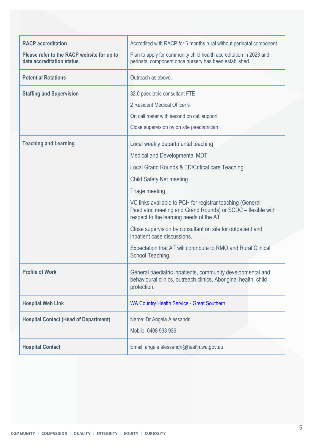| <b>RACP</b> accreditation                                               | Accredited with RACP for 6 months rural without perinatal component.                                                                                                 |
|-------------------------------------------------------------------------|----------------------------------------------------------------------------------------------------------------------------------------------------------------------|
| Please refer to the RACP website for up to<br>date accreditation status | Plan to apply for community child health accreditation in 2023 and<br>perinatal component once nursery has been established.                                         |
| <b>Potential Rotations</b>                                              | Outreach as above.                                                                                                                                                   |
| <b>Staffing and Supervision</b>                                         | 32.0 paediatric consultant FTE                                                                                                                                       |
|                                                                         | 2 Resident Medical Officer's                                                                                                                                         |
|                                                                         | On call roster with second on call support                                                                                                                           |
|                                                                         | Close supervision by on site paediatrician                                                                                                                           |
| <b>Teaching and Learning</b>                                            | Local weekly departmental teaching                                                                                                                                   |
|                                                                         | Medical and Developmental MDT                                                                                                                                        |
|                                                                         | Local Grand Rounds & ED/Critical care Teaching                                                                                                                       |
|                                                                         | <b>Child Safety Net meeting</b>                                                                                                                                      |
|                                                                         | Triage meeting                                                                                                                                                       |
|                                                                         | VC links available to PCH for registrar teaching (General<br>Paediatric meeting and Grand Rounds) or SCDC - flexible with<br>respect to the learning needs of the AT |
|                                                                         | Close supervision by consultant on site for outpatient and<br>inpatient case discussions.                                                                            |
|                                                                         | Expectation that AT will contribute to RMO and Rural Clinical<br>School Teaching.                                                                                    |
| <b>Profile of Work</b>                                                  | General paediatric inpatients, community developmental and<br>behavioural clinics, outreach clinics, Aboriginal health, child<br>protection.                         |
| <b>Hospital Web Link</b>                                                | <b>WA Country Health Service - Great Southern</b>                                                                                                                    |
| <b>Hospital Contact (Head of Department)</b>                            | Name: Dr Angela Alessandri                                                                                                                                           |
|                                                                         | Mobile: 0408 933 936                                                                                                                                                 |
| <b>Hospital Contact</b>                                                 | Email: angela.alessandri@health.wa.gov.au                                                                                                                            |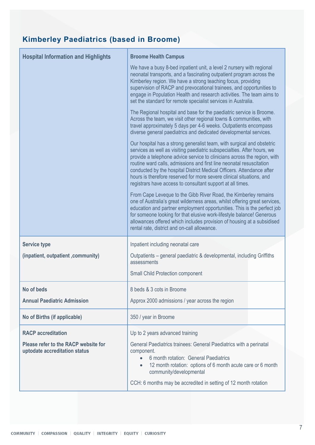## <span id="page-6-0"></span>**Kimberley Paediatrics (based in Broome)**

| <b>Hospital Information and Highlights</b>                            | <b>Broome Health Campus</b>                                                                                                                                                                                                                                                                                                                                                                                                                                                                                          |  |
|-----------------------------------------------------------------------|----------------------------------------------------------------------------------------------------------------------------------------------------------------------------------------------------------------------------------------------------------------------------------------------------------------------------------------------------------------------------------------------------------------------------------------------------------------------------------------------------------------------|--|
|                                                                       | We have a busy 8-bed inpatient unit, a level 2 nursery with regional<br>neonatal transports, and a fascinating outpatient program across the<br>Kimberley region. We have a strong teaching focus, providing<br>supervision of RACP and prevocational trainees, and opportunities to<br>engage in Population Health and research activities. The team aims to<br>set the standard for remote specialist services in Australia.                                                                                       |  |
|                                                                       | The Regional hospital and base for the paediatric service is Broome.<br>Across the team, we visit other regional towns & communities, with<br>travel approximately 5 days per 4-6 weeks. Outpatients encompass<br>diverse general paediatrics and dedicated developmental services.                                                                                                                                                                                                                                  |  |
|                                                                       | Our hospital has a strong generalist team, with surgical and obstetric<br>services as well as visiting paediatric subspecialties. After hours, we<br>provide a telephone advice service to clinicians across the region, with<br>routine ward calls, admissions and first line neonatal resuscitation<br>conducted by the hospital District Medical Officers. Attendance after<br>hours is therefore reserved for more severe clinical situations, and<br>registrars have access to consultant support at all times. |  |
|                                                                       | From Cape Leveque to the Gibb River Road, the Kimberley remains<br>one of Australia's great wilderness areas, whilst offering great services,<br>education and partner employment opportunities. This is the perfect job<br>for someone looking for that elusive work-lifestyle balance! Generous<br>allowances offered which includes provision of housing at a subsidised<br>rental rate, district and on-call allowance.                                                                                          |  |
| <b>Service type</b>                                                   | Inpatient including neonatal care                                                                                                                                                                                                                                                                                                                                                                                                                                                                                    |  |
| (inpatient, outpatient, community)                                    | Outpatients – general paediatric & developmental, including Griffiths<br>assessments                                                                                                                                                                                                                                                                                                                                                                                                                                 |  |
|                                                                       |                                                                                                                                                                                                                                                                                                                                                                                                                                                                                                                      |  |
|                                                                       | <b>Small Child Protection component</b>                                                                                                                                                                                                                                                                                                                                                                                                                                                                              |  |
| No of beds                                                            | 8 beds & 3 cots in Broome                                                                                                                                                                                                                                                                                                                                                                                                                                                                                            |  |
| <b>Annual Paediatric Admission</b>                                    | Approx 2000 admissions / year across the region                                                                                                                                                                                                                                                                                                                                                                                                                                                                      |  |
| No of Births (if applicable)                                          | 350 / year in Broome                                                                                                                                                                                                                                                                                                                                                                                                                                                                                                 |  |
| <b>RACP</b> accreditation                                             | Up to 2 years advanced training                                                                                                                                                                                                                                                                                                                                                                                                                                                                                      |  |
| Please refer to the RACP website for<br>uptodate accreditation status | General Paediatrics trainees: General Paediatrics with a perinatal<br>component.<br>6 month rotation: General Paediatrics<br>$\bullet$<br>12 month rotation: options of 6 month acute care or 6 month<br>$\bullet$<br>community/developmental<br>CCH: 6 months may be accredited in setting of 12 month rotation                                                                                                                                                                                                     |  |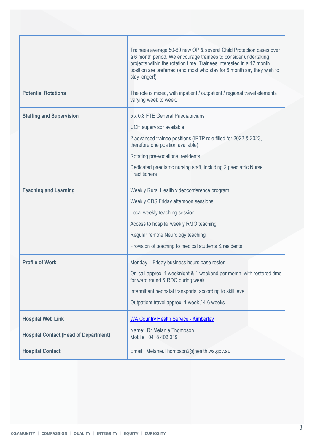|                                              | Trainees average 50-60 new OP & several Child Protection cases over<br>a 6 month period. We encourage trainees to consider undertaking<br>projects within the rotation time. Trainees interested in a 12 month<br>position are preferred (and most who stay for 6 month say they wish to<br>stay longer!) |
|----------------------------------------------|-----------------------------------------------------------------------------------------------------------------------------------------------------------------------------------------------------------------------------------------------------------------------------------------------------------|
| <b>Potential Rotations</b>                   | The role is mixed, with inpatient / outpatient / regional travel elements<br>varying week to week.                                                                                                                                                                                                        |
| <b>Staffing and Supervision</b>              | 5 x 0.8 FTE General Paediatricians<br>CCH supervisor available<br>2 advanced trainee positions (IRTP role filled for 2022 & 2023,<br>therefore one position available)<br>Rotating pre-vocational residents<br>Dedicated paediatric nursing staff, including 2 paediatric Nurse<br><b>Practitioners</b>   |
| <b>Teaching and Learning</b>                 | Weekly Rural Health videoconference program<br>Weekly CDS Friday afternoon sessions<br>Local weekly teaching session<br>Access to hospital weekly RMO teaching<br>Regular remote Neurology teaching<br>Provision of teaching to medical students & residents                                              |
| <b>Profile of Work</b>                       | Monday - Friday business hours base roster<br>On-call approx. 1 weeknight & 1 weekend per month, with rostered time<br>for ward round & RDO during week<br>Intermittent neonatal transports, according to skill level<br>Outpatient travel approx. 1 week / 4-6 weeks                                     |
| <b>Hospital Web Link</b>                     | <b>WA Country Health Service - Kimberley</b>                                                                                                                                                                                                                                                              |
| <b>Hospital Contact (Head of Department)</b> | Name: Dr Melanie Thompson<br>Mobile: 0418 402 019                                                                                                                                                                                                                                                         |
| <b>Hospital Contact</b>                      | Email: Melanie.Thompson2@health.wa.gov.au                                                                                                                                                                                                                                                                 |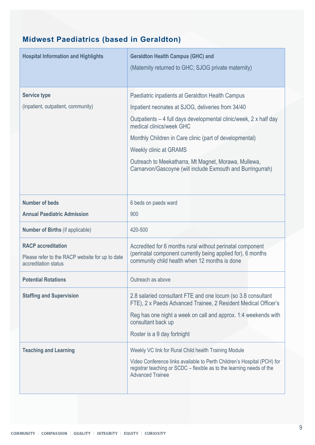## <span id="page-8-0"></span>**Midwest Paediatrics (based in Geraldton)**

| <b>Hospital Information and Highlights</b>                                                           | <b>Geraldton Health Campus (GHC) and</b><br>(Maternity returned to GHC; SJOG private maternity)                                                                             |
|------------------------------------------------------------------------------------------------------|-----------------------------------------------------------------------------------------------------------------------------------------------------------------------------|
| <b>Service type</b>                                                                                  | Paediatric inpatients at Geraldton Health Campus                                                                                                                            |
| (inpatient, outpatient, community)                                                                   | Inpatient neonates at SJOG, deliveries from 34/40                                                                                                                           |
|                                                                                                      | Outpatients – 4 full days developmental clinic/week, 2 x half day<br>medical clinics/week GHC                                                                               |
|                                                                                                      | Monthly Children in Care clinic (part of developmental)                                                                                                                     |
|                                                                                                      | <b>Weekly clinic at GRAMS</b>                                                                                                                                               |
|                                                                                                      | Outreach to Meekatharra, Mt Magnet, Morawa, Mullewa,<br>Carnarvon/Gascoyne (will include Exmouth and Burringurrah)                                                          |
| <b>Number of beds</b>                                                                                | 6 beds on paeds ward                                                                                                                                                        |
| <b>Annual Paediatric Admission</b>                                                                   | 900                                                                                                                                                                         |
| <b>Number of Births (if applicable)</b>                                                              | 420-500                                                                                                                                                                     |
| <b>RACP</b> accreditation<br>Please refer to the RACP website for up to date<br>accreditation status | Accredited for 6 months rural without perinatal component<br>(perinatal component currently being applied for), 6 months<br>community child health when 12 months is done   |
| <b>Potential Rotations</b>                                                                           | Outreach as above                                                                                                                                                           |
| <b>Staffing and Supervision</b>                                                                      | 2.8 salaried consultant FTE and one locum (so 3.8 consultant<br>FTE), 2 x Paeds Advanced Trainee, 2 Resident Medical Officer's                                              |
|                                                                                                      | Reg has one night a week on call and approx. 1:4 weekends with<br>consultant back up                                                                                        |
|                                                                                                      | Roster is a 9 day fortnight                                                                                                                                                 |
| <b>Teaching and Learning</b>                                                                         | Weekly VC link for Rural Child health Training Module                                                                                                                       |
|                                                                                                      | Video Conference links available to Perth Children's Hospital (PCH) for<br>registrar teaching or SCDC - flexible as to the learning needs of the<br><b>Advanced Trainee</b> |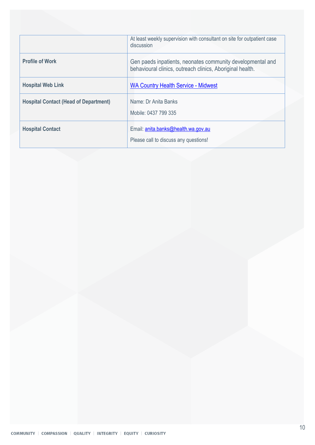|                                              | At least weekly supervision with consultant on site for outpatient case<br>discussion                                   |
|----------------------------------------------|-------------------------------------------------------------------------------------------------------------------------|
| <b>Profile of Work</b>                       | Gen paeds inpatients, neonates community developmental and<br>behavioural clinics, outreach clinics, Aboriginal health. |
| <b>Hospital Web Link</b>                     | <b>WA Country Health Service - Midwest</b>                                                                              |
| <b>Hospital Contact (Head of Department)</b> | Name: Dr Anita Banks<br>Mobile: 0437 799 335                                                                            |
| <b>Hospital Contact</b>                      | Email: anita.banks@health.wa.gov.au<br>Please call to discuss any questions!                                            |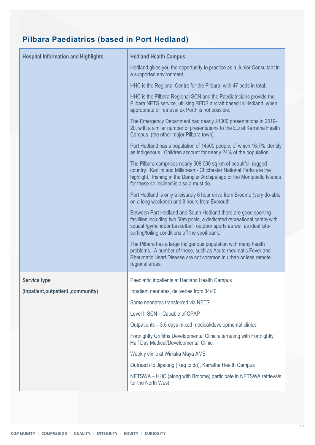## <span id="page-10-0"></span>**Pilbara Paediatrics (based in Port Hedland)**

| <b>Hospital Information and Highlights</b> | <b>Hedland Health Campus</b>                                                                                                                                                                                                                                        |
|--------------------------------------------|---------------------------------------------------------------------------------------------------------------------------------------------------------------------------------------------------------------------------------------------------------------------|
|                                            | Hedland gives you the opportunity to practice as a Junior Consultant in<br>a supported environment.                                                                                                                                                                 |
|                                            | HHC is the Regional Centre for the Pilbara, with 47 beds in total.                                                                                                                                                                                                  |
|                                            | HHC is the Pilbara Regional SCN and the Paediatricians provide the<br>Pilbara NETS service, utilising RFDS aircraft based In Hedland, when<br>appropriate or retrieval ex Perth is not possible.                                                                    |
|                                            | The Emergency Department had nearly 21000 presentations in 2019-<br>20, with a similar number of presentations to the ED at Karratha Health<br>Campus, (the other major Pilbara town).                                                                              |
|                                            | Port Hedland has a population of 14500 people, of which 16.7% identify<br>as Indigenous. Children account for nearly 24% of the population.                                                                                                                         |
|                                            | The Pilbara comprises nearly 508 000 sq km of beautiful, rugged<br>country. Karijini and Millstream- Chichester National Parks are the<br>highlight. Fishing in the Dampier Archipelago or the Montebello Islands<br>for those so inclined is also a must do.       |
|                                            | Port Hedland is only a leisurely 6 hour drive from Broome (very do-able<br>on a long weekend) and 8 hours from Exmouth.                                                                                                                                             |
|                                            | Between Port Hedland and South Hedland there are good sporting<br>facilities including two 50m pools, a dedicated recreational centre with<br>squash/gym/indoor basketball, outdoor sports as well as ideal kite-<br>surfing/foiling conditions off the spoil-bank. |
|                                            | The Pilbara has a large Indigenous population with many health<br>problems. A number of these, such as Acute rheumatic Fever and<br>Rheumatic Heart Disease are not common in urban or less remote<br>regional areas.                                               |
| <b>Service type</b>                        | Paediatric inpatients at Hedland Health Campus                                                                                                                                                                                                                      |
| (inpatient, outpatient, community)         | Inpatient neonates, deliveries from 34/40                                                                                                                                                                                                                           |
|                                            | Some neonates transferred via NETS                                                                                                                                                                                                                                  |
|                                            | Level II SCN - Capable of CPAP                                                                                                                                                                                                                                      |
|                                            | Outpatients - 3.5 days mixed medical/developmental clinics                                                                                                                                                                                                          |
|                                            | Fortnightly Griffiths Developmental Clinic alternating with Fortnightly<br>Half Day Medical/Developmental Clinic                                                                                                                                                    |
|                                            | Weekly clinic at Wirraka Maya AMS                                                                                                                                                                                                                                   |
|                                            | Outreach to Jigalong (Reg to do), Karratha Health Campus                                                                                                                                                                                                            |
|                                            | NETSWA - HHC (along with Broome) participate in NETSWA retrievals<br>for the North West                                                                                                                                                                             |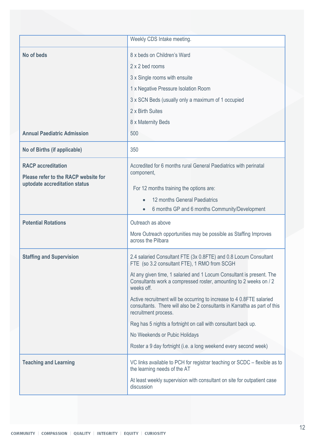|                                                                                                    | Weekly CDS Intake meeting.                                                                                                                                                                                                                                                                                                                                                                                                                                                                                                                                                                                                      |
|----------------------------------------------------------------------------------------------------|---------------------------------------------------------------------------------------------------------------------------------------------------------------------------------------------------------------------------------------------------------------------------------------------------------------------------------------------------------------------------------------------------------------------------------------------------------------------------------------------------------------------------------------------------------------------------------------------------------------------------------|
| No of beds<br><b>Annual Paediatric Admission</b>                                                   | 8 x beds on Children's Ward<br>2 x 2 bed rooms<br>3 x Single rooms with ensuite<br>1 x Negative Pressure Isolation Room<br>3 x SCN Beds (usually only a maximum of 1 occupied<br>2 x Birth Suites<br>8 x Maternity Beds<br>500                                                                                                                                                                                                                                                                                                                                                                                                  |
| No of Births (if applicable)                                                                       | 350                                                                                                                                                                                                                                                                                                                                                                                                                                                                                                                                                                                                                             |
| <b>RACP</b> accreditation<br>Please refer to the RACP website for<br>uptodate accreditation status | Accredited for 6 months rural General Paediatrics with perinatal<br>component,<br>For 12 months training the options are:<br>12 months General Paediatrics<br>6 months GP and 6 months Community/Development                                                                                                                                                                                                                                                                                                                                                                                                                    |
| <b>Potential Rotations</b>                                                                         | Outreach as above                                                                                                                                                                                                                                                                                                                                                                                                                                                                                                                                                                                                               |
|                                                                                                    | More Outreach opportunities may be possible as Staffing Improves<br>across the Pilbara                                                                                                                                                                                                                                                                                                                                                                                                                                                                                                                                          |
| <b>Staffing and Supervision</b>                                                                    | 2.4 salaried Consultant FTE (3x 0.8FTE) and 0.8 Locum Consultant<br>FTE (so 3.2 consultant FTE), 1 RMO from SCGH<br>At any given time, 1 salaried and 1 Locum Consultant is present. The<br>Consultants work a compressed roster, amounting to 2 weeks on / 2<br>weeks off.<br>Active recruitment will be occurring to increase to 4 0.8FTE salaried<br>consultants. There will also be 2 consultants in Karratha as part of this<br>recruitment process.<br>Reg has 5 nights a fortnight on call with consultant back up.<br>No Weekends or Pubic Holidays<br>Roster a 9 day fortnight (i.e. a long weekend every second week) |
| <b>Teaching and Learning</b>                                                                       | VC links available to PCH for registrar teaching or SCDC – flexible as to<br>the learning needs of the AT<br>At least weekly supervision with consultant on site for outpatient case<br>discussion                                                                                                                                                                                                                                                                                                                                                                                                                              |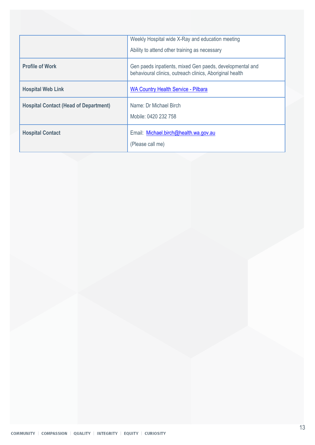|                                              | Weekly Hospital wide X-Ray and education meeting<br>Ability to attend other training as necessary                    |
|----------------------------------------------|----------------------------------------------------------------------------------------------------------------------|
|                                              |                                                                                                                      |
| <b>Profile of Work</b>                       | Gen paeds inpatients, mixed Gen paeds, developmental and<br>behavioural clinics, outreach clinics, Aboriginal health |
| <b>Hospital Web Link</b>                     | <b>WA Country Health Service - Pilbara</b>                                                                           |
| <b>Hospital Contact (Head of Department)</b> | Name: Dr Michael Birch<br>Mobile: 0420 232 758                                                                       |
| <b>Hospital Contact</b>                      | Email: Michael.birch@health.wa.gov.au<br>(Please call me)                                                            |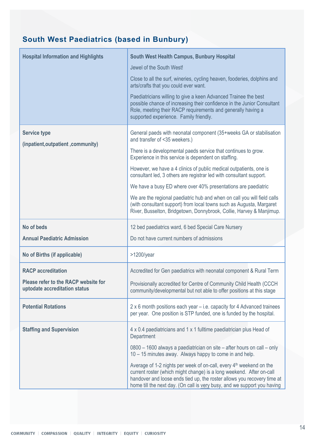## <span id="page-13-0"></span>**South West Paediatrics (based in Bunbury)**

| <b>Hospital Information and Highlights</b>                            | South West Health Campus, Bunbury Hospital                                                                                                                                                                                                           |
|-----------------------------------------------------------------------|------------------------------------------------------------------------------------------------------------------------------------------------------------------------------------------------------------------------------------------------------|
|                                                                       | Jewel of the South West!                                                                                                                                                                                                                             |
|                                                                       | Close to all the surf, wineries, cycling heaven, fooderies, dolphins and<br>arts/crafts that you could ever want.                                                                                                                                    |
|                                                                       | Paediatricians willing to give a keen Advanced Trainee the best<br>possible chance of increasing their confidence in the Junior Consultant<br>Role, meeting their RACP requirements and generally having a<br>supported experience. Family friendly. |
| <b>Service type</b><br>(inpatient, outpatient, community)             | General paeds with neonatal component (35+weeks GA or stabilisation<br>and transfer of <35 weekers.)                                                                                                                                                 |
|                                                                       | There is a developmental paeds service that continues to grow.<br>Experience in this service is dependent on staffing.                                                                                                                               |
|                                                                       | However, we have a 4 clinics of public medical outpatients, one is<br>consultant led, 3 others are registrar led with consultant support.                                                                                                            |
|                                                                       | We have a busy ED where over 40% presentations are paediatric                                                                                                                                                                                        |
|                                                                       | We are the regional paediatric hub and when on call you will field calls<br>(with consultant support) from local towns such as Augusta, Margaret<br>River, Busselton, Bridgetown, Donnybrook, Collie, Harvey & Manjimup.                             |
|                                                                       |                                                                                                                                                                                                                                                      |
| No of beds                                                            | 12 bed paediatrics ward, 6 bed Special Care Nursery                                                                                                                                                                                                  |
| <b>Annual Paediatric Admission</b>                                    | Do not have current numbers of admissions                                                                                                                                                                                                            |
| No of Births (if applicable)                                          | $>1200$ /year                                                                                                                                                                                                                                        |
| <b>RACP</b> accreditation                                             | Accredited for Gen paediatrics with neonatal component & Rural Term                                                                                                                                                                                  |
| Please refer to the RACP website for<br>uptodate accreditation status | Provisionally accredited for Centre of Community Child Health (CCCH<br>community/developmental but not able to offer positions at this stage                                                                                                         |
| <b>Potential Rotations</b>                                            | 2 x 6 month positions each year – i.e. capacity for 4 Advanced trainees<br>per year. One position is STP funded, one is funded by the hospital.                                                                                                      |
| <b>Staffing and Supervision</b>                                       | 4 x 0.4 paediatricians and 1 x 1 fulltime paediatrician plus Head of<br>Department                                                                                                                                                                   |
|                                                                       | 0800 - 1600 always a paediatrician on site - after hours on call - only<br>10 – 15 minutes away. Always happy to come in and help.                                                                                                                   |